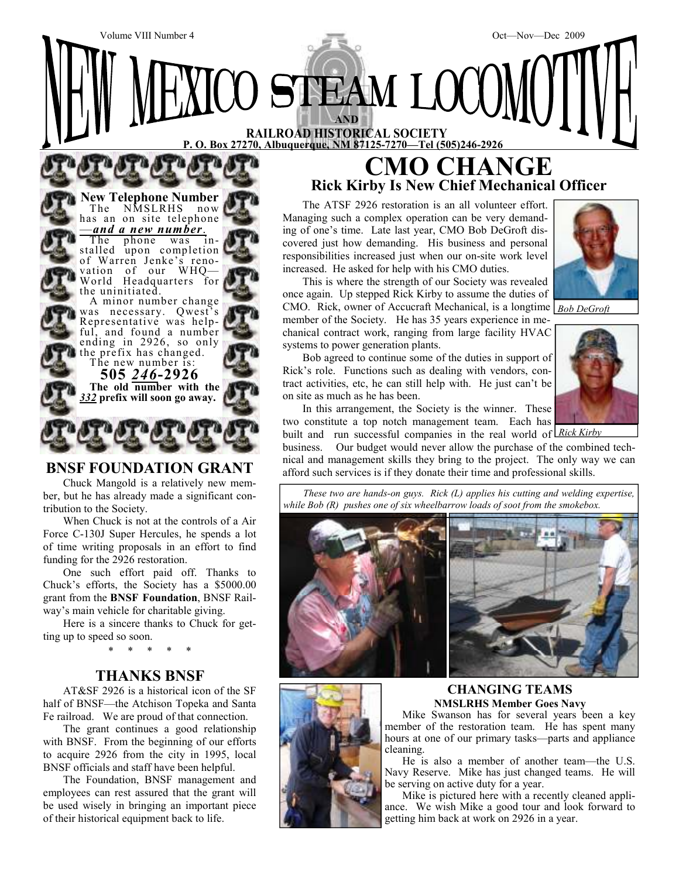

# **BNSF FOUNDATION GRANT**

Chuck Mangold is a relatively new member, but he has already made a significant contribution to the Society.

When Chuck is not at the controls of a Air Force C-130J Super Hercules, he spends a lot of time writing proposals in an effort to find funding for the 2926 restoration.

One such effort paid off. Thanks to Chuck's efforts, the Society has a \$5000.00 grant from the **BNSF Foundation**, BNSF Railway's main vehicle for charitable giving.

Here is a sincere thanks to Chuck for getting up to speed so soon.

\* \* \* \* \*

# **THANKS BNSF**

AT&SF 2926 is a historical icon of the SF half of BNSF—the Atchison Topeka and Santa Fe railroad. We are proud of that connection.

The grant continues a good relationship with BNSF. From the beginning of our efforts to acquire 2926 from the city in 1995, local BNSF officials and staff have been helpful.

The Foundation, BNSF management and employees can rest assured that the grant will be used wisely in bringing an important piece of their historical equipment back to life.

# **Rick Kirby Is New Chief Mechanical Officer**



two constitute a top notch management team. Each has

built and run successful companies in the real world of *Rick Kirby* business. Our budget would never allow the purchase of the combined technical and management skills they bring to the project. The only way we can afford such services is if they donate their time and professional skills.

*These two are hands-on guys. Rick (L) applies his cutting and welding expertise, while Bob (R) pushes one of six wheelbarrow loads of soot from the smokebox.* 







**CHANGING TEAMS NMSLRHS Member Goes Navy** 

 Mike Swanson has for several years been a key member of the restoration team. He has spent many hours at one of our primary tasks—parts and appliance cleaning.

 He is also a member of another team—the U.S. Navy Reserve. Mike has just changed teams. He will be serving on active duty for a year.

 Mike is pictured here with a recently cleaned appliance. We wish Mike a good tour and look forward to getting him back at work on 2926 in a year.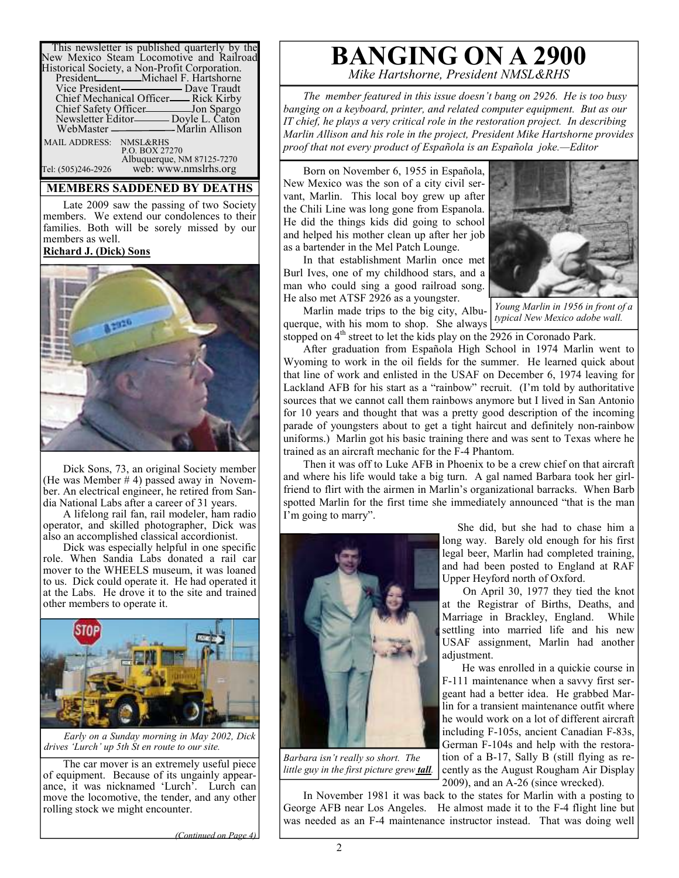| This newsletter is published quarterly by the<br>New Mexico Steam Locomotive and Railroad |
|-------------------------------------------------------------------------------------------|
| Historical Society, a Non-Profit Corporation.                                             |
| President <sub>Michael</sub> F. Hartshorne                                                |
|                                                                                           |
| Chief Mechanical Officer—— Rick Kirby                                                     |
| Chief Safety Officer___________Jon Spargo                                                 |
| Newsletter Editor-Boyle L. Caton                                                          |
|                                                                                           |
| MAIL ADDRESS: NMSL&RHS                                                                    |
| P.O. BOX 27270                                                                            |
| Albuquerque, NM 87125-7270                                                                |
| web: www.nmslrhs.org<br>Tel: (505)246-2926                                                |

#### **MEMBERS SADDENED BY DEATHS**

Late 2009 saw the passing of two Society members. We extend our condolences to their families. Both will be sorely missed by our members as well.

#### **Richard J. (Dick) Sons**



Dick Sons, 73, an original Society member (He was Member  $# 4$ ) passed away in November. An electrical engineer, he retired from Sandia National Labs after a career of 31 years.

A lifelong rail fan, rail modeler, ham radio operator, and skilled photographer, Dick was also an accomplished classical accordionist.

Dick was especially helpful in one specific role. When Sandia Labs donated a rail car mover to the WHEELS museum, it was loaned to us. Dick could operate it. He had operated it at the Labs. He drove it to the site and trained other members to operate it.



*Early on a Sunday morning in May 2002, Dick drives 'Lurch' up 5th St en route to our site.* 

The car mover is an extremely useful piece of equipment. Because of its ungainly appearance, it was nicknamed 'Lurch'. Lurch can move the locomotive, the tender, and any other rolling stock we might encounter.

# **BANGING ON A 2900** *Mike Hartshorne, President NMSL&RHS*

*The member featured in this issue doesn't bang on 2926. He is too busy banging on a keyboard, printer, and related computer equipment. But as our IT chief, he plays a very critical role in the restoration project. In describing Marlin Allison and his role in the project, President Mike Hartshorne provides proof that not every product of Española is an Española joke.—Editor* 

Born on November 6, 1955 in Española, New Mexico was the son of a city civil servant, Marlin. This local boy grew up after the Chili Line was long gone from Espanola. He did the things kids did going to school and helped his mother clean up after her job as a bartender in the Mel Patch Lounge.

In that establishment Marlin once met Burl Ives, one of my childhood stars, and a man who could sing a good railroad song. He also met ATSF 2926 as a youngster.

Marlin made trips to the big city, Albuquerque, with his mom to shop. She always stopped on  $4<sup>th</sup>$  street to let the kids play on the  $2926$  in Coronado Park.



*Young Marlin in 1956 in front of a typical New Mexico adobe wall.* 

After graduation from Española High School in 1974 Marlin went to Wyoming to work in the oil fields for the summer. He learned quick about that line of work and enlisted in the USAF on December 6, 1974 leaving for Lackland AFB for his start as a "rainbow" recruit. (I'm told by authoritative sources that we cannot call them rainbows anymore but I lived in San Antonio for 10 years and thought that was a pretty good description of the incoming parade of youngsters about to get a tight haircut and definitely non-rainbow uniforms.) Marlin got his basic training there and was sent to Texas where he trained as an aircraft mechanic for the F-4 Phantom.

Then it was off to Luke AFB in Phoenix to be a crew chief on that aircraft and where his life would take a big turn. A gal named Barbara took her girlfriend to flirt with the airmen in Marlin's organizational barracks. When Barb spotted Marlin for the first time she immediately announced "that is the man I'm going to marry".



*Barbara isn't really so short. The little guy in the first picture grew tall.* 

 She did, but she had to chase him a long way. Barely old enough for his first legal beer, Marlin had completed training, and had been posted to England at RAF Upper Heyford north of Oxford.

 On April 30, 1977 they tied the knot at the Registrar of Births, Deaths, and Marriage in Brackley, England. While settling into married life and his new USAF assignment, Marlin had another adjustment.

 He was enrolled in a quickie course in F-111 maintenance when a savvy first sergeant had a better idea. He grabbed Marlin for a transient maintenance outfit where he would work on a lot of different aircraft including F-105s, ancient Canadian F-83s, German F-104s and help with the restoration of a B-17, Sally B (still flying as recently as the August Rougham Air Display 2009), and an A-26 (since wrecked).

In November 1981 it was back to the states for Marlin with a posting to George AFB near Los Angeles. He almost made it to the F-4 flight line but was needed as an F-4 maintenance instructor instead. That was doing well

*(Continued on Page 4)*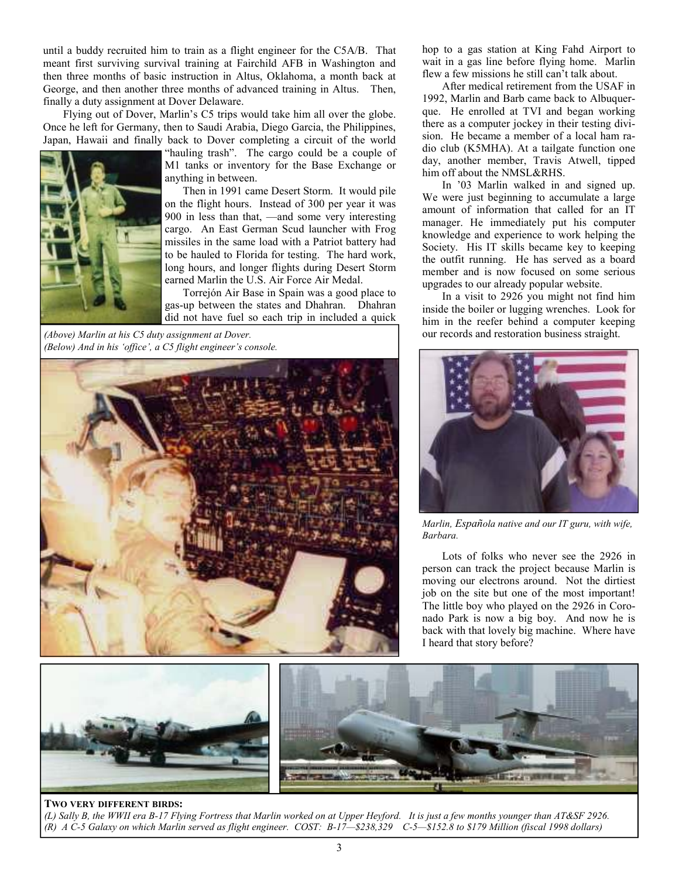until a buddy recruited him to train as a flight engineer for the C5A/B. That meant first surviving survival training at Fairchild AFB in Washington and then three months of basic instruction in Altus, Oklahoma, a month back at George, and then another three months of advanced training in Altus. Then, finally a duty assignment at Dover Delaware.

Flying out of Dover, Marlin's C5 trips would take him all over the globe. Once he left for Germany, then to Saudi Arabia, Diego Garcia, the Philippines, Japan, Hawaii and finally back to Dover completing a circuit of the world



"hauling trash". The cargo could be a couple of M1 tanks or inventory for the Base Exchange or anything in between.

 Then in 1991 came Desert Storm. It would pile on the flight hours. Instead of 300 per year it was 900 in less than that, —and some very interesting cargo. An East German Scud launcher with Frog missiles in the same load with a Patriot battery had to be hauled to Florida for testing. The hard work, long hours, and longer flights during Desert Storm earned Marlin the U.S. Air Force Air Medal.

 Torrejón Air Base in Spain was a good place to gas-up between the states and Dhahran. Dhahran did not have fuel so each trip in included a quick

*(Above) Marlin at his C5 duty assignment at Dover. (Below) And in his 'office', a C5 flight engineer's console.* 



hop to a gas station at King Fahd Airport to wait in a gas line before flying home. Marlin flew a few missions he still can't talk about.

After medical retirement from the USAF in 1992, Marlin and Barb came back to Albuquerque. He enrolled at TVI and began working there as a computer jockey in their testing division. He became a member of a local ham radio club (K5MHA). At a tailgate function one day, another member, Travis Atwell, tipped him off about the NMSL&RHS.

In '03 Marlin walked in and signed up. We were just beginning to accumulate a large amount of information that called for an IT manager. He immediately put his computer knowledge and experience to work helping the Society. His IT skills became key to keeping the outfit running. He has served as a board member and is now focused on some serious upgrades to our already popular website.

In a visit to 2926 you might not find him inside the boiler or lugging wrenches. Look for him in the reefer behind a computer keeping our records and restoration business straight.



*Marlin, Española native and our IT guru, with wife, Barbara.*

Lots of folks who never see the 2926 in person can track the project because Marlin is moving our electrons around. Not the dirtiest job on the site but one of the most important! The little boy who played on the 2926 in Coronado Park is now a big boy. And now he is back with that lovely big machine. Where have I heard that story before?



#### **TWO VERY DIFFERENT BIRDS:**

*(L) Sally B, the WWII era B-17 Flying Fortress that Marlin worked on at Upper Heyford. It is just a few months younger than AT&SF 2926. (R) A C-5 Galaxy on which Marlin served as flight engineer. COST: B-17—\$238,329 C-5—\$152.8 to \$179 Million (fiscal 1998 dollars)*